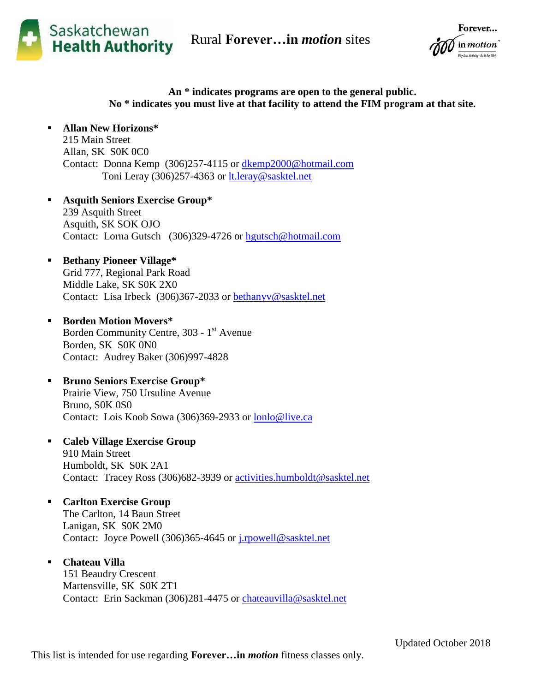Rural **Forever…in** *motion* sites



Forever... in motion .<br>hysical Activity - do it for life!

## **An \* indicates programs are open to the general public. No \* indicates you must live at that facility to attend the FIM program at that site.**

 **Allan New Horizons\*** 215 Main Street Allan, SK S0K 0C0 Contact: Donna Kemp (306)257-4115 or [dkemp2000@hotmail.com](mailto:dkemp2000@hotmail.com) Toni Leray (306)257-4363 or [lt.leray@sasktel.net](mailto:lt.leray@sasktel.net)

 **Asquith Seniors Exercise Group\*** 239 Asquith Street Asquith, SK SOK OJO Contact: Lorna Gutsch (306)329-4726 or [hgutsch@hotmail.com](mailto:hgutsch@hotmail.com)

- **Bethany Pioneer Village\*** Grid 777, Regional Park Road Middle Lake, SK S0K 2X0 Contact: Lisa Irbeck (306)367-2033 or [bethanyv@sasktel.net](mailto:bethanyv@sasktel.net)
- **Borden Motion Movers\*** Borden Community Centre, 303 - 1<sup>st</sup> Avenue Borden, SK S0K 0N0 Contact: Audrey Baker (306)997-4828
- **Bruno Seniors Exercise Group\*** Prairie View, 750 Ursuline Avenue Bruno, S0K 0S0 Contact: Lois Koob Sowa (306)369-2933 or [lonlo@live.ca](mailto:lonlo@live.ca)
- **Caleb Village Exercise Group** 910 Main Street Humboldt, SK S0K 2A1 Contact: Tracey Ross (306)682-3939 or [activities.humboldt@sasktel.net](mailto:activities.humboldt@sasktel.net)
- **Carlton Exercise Group** The Carlton, 14 Baun Street Lanigan, SK S0K 2M0 Contact: Joyce Powell (306)365-4645 or [j.rpowell@sasktel.net](mailto:j.rpowell@sasktel.net)
- **Chateau Villa**

151 Beaudry Crescent Martensville, SK S0K 2T1 Contact: Erin Sackman (306)281-4475 or [chateauvilla@sasktel.net](mailto:chateauvilla@sasktel.net)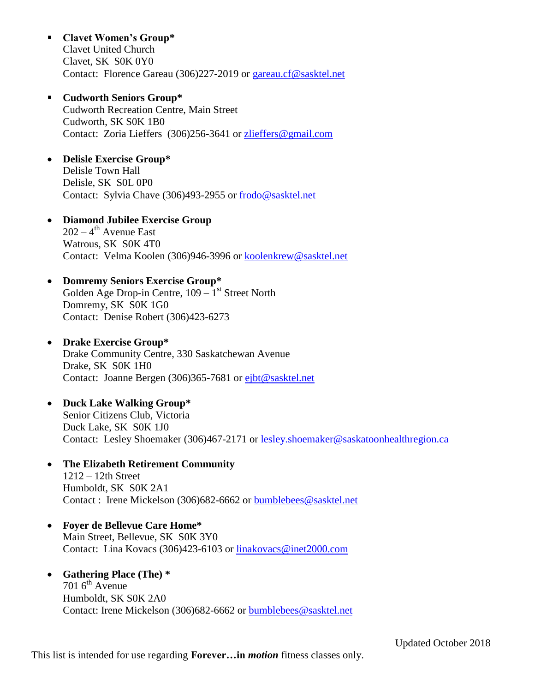- **Clavet Women's Group\*** Clavet United Church Clavet, SK S0K 0Y0 Contact: Florence Gareau (306)227-2019 or [gareau.cf@sasktel.net](mailto:gareau.cf@sasktel.net)
- **Cudworth Seniors Group\*** Cudworth Recreation Centre, Main Street Cudworth, SK S0K 1B0 Contact: Zoria Lieffers (306)256-3641 or [zlieffers@gmail.com](mailto:zlieffers@gmail.com)
- **Delisle Exercise Group\*** Delisle Town Hall Delisle, SK S0L 0P0 Contact: Sylvia Chave (306)493-2955 or [frodo@sasktel.net](mailto:frodo@sasktel.net)
- **Diamond Jubilee Exercise Group**  $202 - 4$ <sup>th</sup> Avenue East Watrous, SK S0K 4T0 Contact: Velma Koolen (306)946-3996 or [koolenkrew@sasktel.net](mailto:koolenkrew@sasktel.net)
- **Domremy Seniors Exercise Group\*** Golden Age Drop-in Centre,  $109 - 1$ <sup>st</sup> Street North Domremy, SK S0K 1G0

Contact: Denise Robert (306)423-6273

- **Drake Exercise Group\*** Drake Community Centre, 330 Saskatchewan Avenue Drake, SK S0K 1H0 Contact: Joanne Bergen (306)365-7681 or [ejbt@sasktel.net](mailto:ejbt@sasktel.net)
- **Duck Lake Walking Group\*** Senior Citizens Club, Victoria Duck Lake, SK S0K 1J0 Contact: Lesley Shoemaker (306)467-2171 or [lesley.shoemaker@saskatoonhealthregion.ca](mailto:lesley.shoemaker@saskatoonhealthregion.ca)
- **The Elizabeth Retirement Community** 1212 – 12th Street Humboldt, SK S0K 2A1 Contact : Irene Mickelson (306)682-6662 or [bumblebees@sasktel.net](mailto:bumblebees@sasktel.net)
- **Foyer de Bellevue Care Home\*** Main Street, Bellevue, SK S0K 3Y0 Contact: Lina Kovacs (306)423-6103 or [linakovacs@inet2000.com](mailto:linakovacs@inet2000.com)
- **Gathering Place (The) \***  $701$  6<sup>th</sup> Avenue Humboldt, SK S0K 2A0 Contact: Irene Mickelson (306)682-6662 or [bumblebees@sasktel.net](mailto:bumblebees@sasktel.net)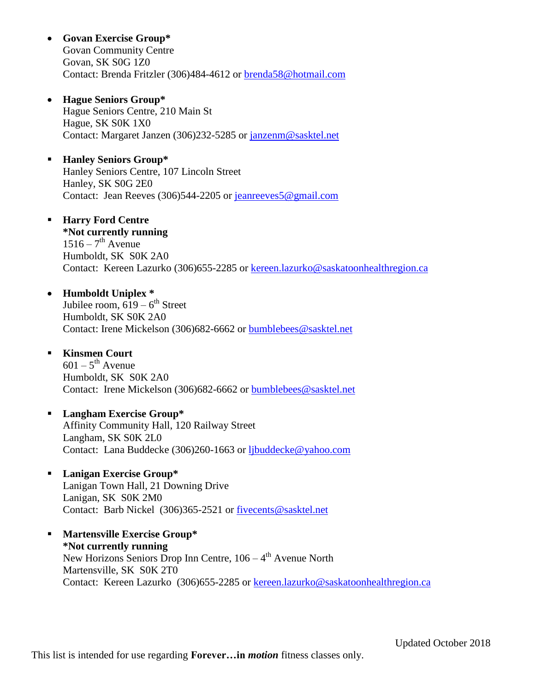**Govan Exercise Group\***

Govan Community Centre Govan, SK S0G 1Z0 Contact: Brenda Fritzler (306)484-4612 or [brenda58@hotmail.com](mailto:brenda58@hotmail.com)

**Hague Seniors Group\***

Hague Seniors Centre, 210 Main St Hague, SK S0K 1X0 Contact: Margaret Janzen (306)232-5285 or [janzenm@sasktel.net](mailto:janzenm@sasktel.net)

- **Hanley Seniors Group\*** Hanley Seniors Centre, 107 Lincoln Street Hanley, SK S0G 2E0 Contact: Jean Reeves (306)544-2205 or [jeanreeves5@gmail.com](mailto:jeanreeves5@gmail.com)
- **Harry Ford Centre \*Not currently running**  $1516 - 7$ <sup>th</sup> Avenue Humboldt, SK S0K 2A0 Contact: Kereen Lazurko (306)655-2285 or [kereen.lazurko@saskatoonhealthregion.ca](mailto:kereen.lazurko@saskatoonhealthregion.ca)
- **Humboldt Uniplex \*** Jubilee room,  $\overline{619} - 6^{\text{th}}$  Street Humboldt, SK S0K 2A0 Contact: Irene Mickelson (306)682-6662 or [bumblebees@sasktel.net](mailto:bumblebees@sasktel.net)
- **Kinsmen Court**  $601 - 5$ <sup>th</sup> Avenue Humboldt, SK S0K 2A0 Contact: Irene Mickelson (306)682-6662 or [bumblebees@sasktel.net](mailto:bumblebees@sasktel.net)
- **Langham Exercise Group\*** Affinity Community Hall, 120 Railway Street Langham, SK S0K 2L0 Contact: Lana Buddecke (306)260-1663 or [ljbuddecke@yahoo.com](mailto:ljbuddecke@yahoo.com)
- **Lanigan Exercise Group\*** Lanigan Town Hall, 21 Downing Drive Lanigan, SK S0K 2M0 Contact: Barb Nickel (306)365-2521 or [fivecents@sasktel.net](mailto:fivecents@sasktel.net)
- **Martensville Exercise Group\* \*Not currently running** New Horizons Seniors Drop Inn Centre,  $106 - 4$ <sup>th</sup> Avenue North Martensville, SK S0K 2T0 Contact: Kereen Lazurko (306)655-2285 or [kereen.lazurko@saskatoonhealthregion.ca](mailto:kereen.lazurko@saskatoonhealthregion.ca)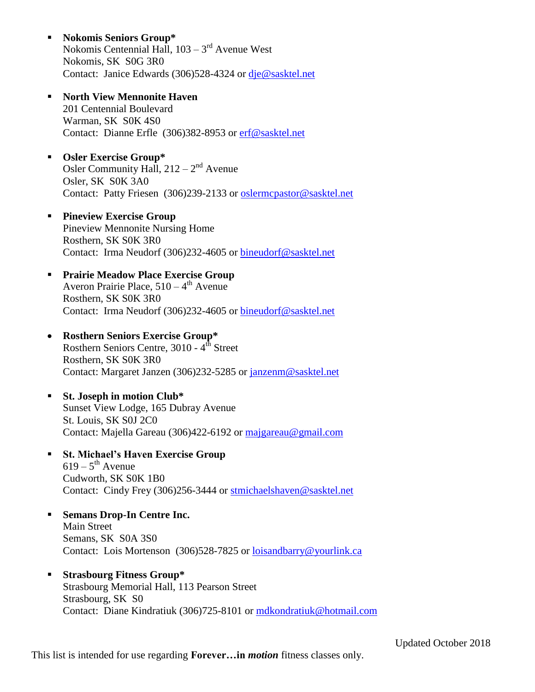- **Nokomis Seniors Group\*** Nokomis Centennial Hall, 103 – 3<sup>rd</sup> Avenue West Nokomis, SK S0G 3R0 Contact: Janice Edwards (306)528-4324 or [dje@sasktel.net](mailto:dje@sasktel.net)
- **North View Mennonite Haven** 201 Centennial Boulevard Warman, SK S0K 4S0 Contact: Dianne Erfle (306)382-8953 or [erf@sasktel.net](mailto:erf@sasktel.net)
- **Osler Exercise Group\*** Osler Community Hall,  $212 - 2<sup>nd</sup>$  Avenue Osler, SK S0K 3A0 Contact: Patty Friesen (306)239-2133 or [oslermcpastor@sasktel.net](mailto:oslermcpastor@sasktel.net)
- **Pineview Exercise Group** Pineview Mennonite Nursing Home Rosthern, SK S0K 3R0 Contact: Irma Neudorf (306)232-4605 or [bineudorf@sasktel.net](mailto:bineudorf@sasktel.net)
- **Prairie Meadow Place Exercise Group** Averon Prairie Place, 510 – 4<sup>th</sup> Avenue Rosthern, SK S0K 3R0 Contact: Irma Neudorf (306)232-4605 or [bineudorf@sasktel.net](mailto:bineudorf@sasktel.net)
- **Rosthern Seniors Exercise Group\*** Rosthern Seniors Centre, 3010 - 4<sup>th</sup> Street Rosthern, SK S0K 3R0 Contact: Margaret Janzen (306)232-5285 or [janzenm@sasktel.net](mailto:janzenm@sasktel.net)
- **St. Joseph in motion Club\*** Sunset View Lodge, 165 Dubray Avenue St. Louis, SK S0J 2C0 Contact: Majella Gareau (306)422-6192 or [majgareau@gmail.com](mailto:majgareau@gmail.com)
- **St. Michael's Haven Exercise Group**  $619 - 5$ <sup>th</sup> Avenue Cudworth, SK S0K 1B0 Contact: Cindy Frey (306)256-3444 or [stmichaelshaven@sasktel.net](mailto:stmichaelshaven@sasktel.net)
- **Semans Drop-In Centre Inc.** Main Street Semans, SK S0A 3S0 Contact: Lois Mortenson (306)528-7825 or [loisandbarry@yourlink.ca](mailto:loisandbarry@yourlink.ca)
- **Strasbourg Fitness Group\*** Strasbourg Memorial Hall, 113 Pearson Street Strasbourg, SK S0 Contact: Diane Kindratiuk (306)725-8101 or [mdkondratiuk@hotmail.com](mailto:mdkondratiuk@hotmail.com)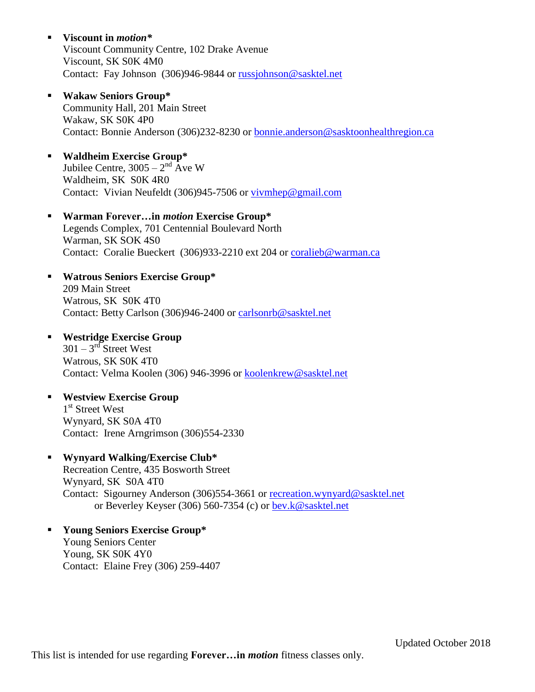- **Viscount in** *motion\** Viscount Community Centre, 102 Drake Avenue Viscount, SK S0K 4M0 Contact: Fay Johnson (306)946-9844 or [russjohnson@sasktel.net](mailto:russjohnson@sasktel.net)
- **Wakaw Seniors Group\*** Community Hall, 201 Main Street Wakaw, SK S0K 4P0 Contact: Bonnie Anderson (306)232-8230 or [bonnie.anderson@sasktoonhealthregion.ca](mailto:bonnie.anderson@sasktoonhealthregion.ca)
- **Waldheim Exercise Group\*** Jubilee Centre,  $3005 - 2<sup>nd</sup>$  Ave W Waldheim, SK S0K 4R0 Contact: Vivian Neufeldt (306)945-7506 or [vivmhep@gmail.com](mailto:vivmhep@gmail.com)
- **Warman Forever…in** *motion* **Exercise Group\*** Legends Complex, 701 Centennial Boulevard North Warman, SK SOK 4S0 Contact: Coralie Bueckert (306)933-2210 ext 204 or [coralieb@warman.ca](mailto:coralieb@warman.ca)
- **Watrous Seniors Exercise Group\*** 209 Main Street Watrous, SK S0K 4T0 Contact: Betty Carlson (306)946-2400 or [carlsonrb@sasktel.net](mailto:carlsonrb@sasktel.net)
- **Westridge Exercise Group**  $301 - 3^{rd}$  Street West Watrous, SK S0K 4T0 Contact: Velma Koolen (306) 946-3996 or [koolenkrew@sasktel.net](mailto:koolenkrew@sasktel.net)
- **Westview Exercise Group** 1<sup>st</sup> Street West Wynyard, SK S0A 4T0 Contact: Irene Arngrimson (306)554-2330

## **Wynyard Walking/Exercise Club\***

Recreation Centre, 435 Bosworth Street Wynyard, SK S0A 4T0 Contact: Sigourney Anderson (306)554-3661 or [recreation.wynyard@sasktel.net](mailto:recreation.wynyard@sasktel.net)  or Beverley Keyser (306) 560-7354 (c) or [bev.k@sasktel.net](mailto:bev.k@sasktel.net)

 **Young Seniors Exercise Group\*** Young Seniors Center Young, SK S0K 4Y0 Contact: Elaine Frey (306) 259-4407